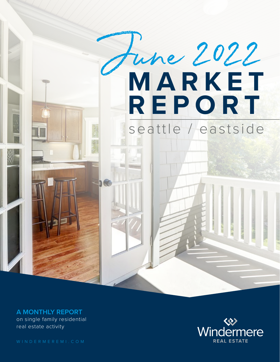

on single family residential real estate activity **A MONTHLY REPORT**

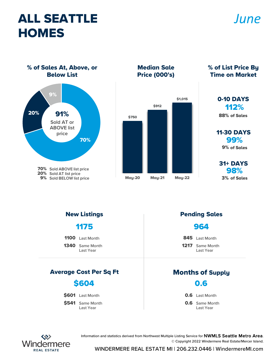# ALL SEATTLE **HOMES**

### *June*

% of Sales At, Above, or Below List



Median Sale Price (000's)



% of List Price By Time on Market

#### 112% 0-10 DAYS 88% of Sales

99% 11-30 DAYS 9% of Sales

98% 31+ DAYS 3% of Sales

1175

| <b>1100</b> Last Month |
|------------------------|
|                        |

1340 Same Month Last Year

#### Average Cost Per Sq Ft Months of Supply

#### \$604

\$601 Last Month

\$541 Same Month Last Year

#### New Listings **Pending Sales**

#### 964

1217 Same Month Last Year 845 Last Month

0.6

**0.6** Last Month

**0.6** Same Month Last Year



Information and statistics derived from Northwest Multiple Listing Service for NWMLS Seattle Metro Area. © Copyright 2022 Windermere Real Estate/Mercer Island.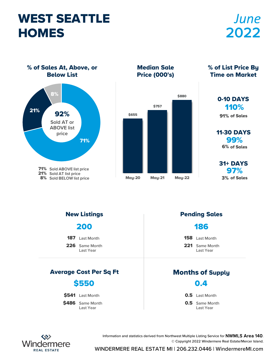# WEST SEATTLE **HOMES**

# *June* **2022**

% of Sales At, Above, or Below List



Median Sale Price (000's)



#### % of List Price By Time on Market

#### 110% 0-10 DAYS

91% of Sales

99% 11-30 DAYS 6% of Sales

97% 31+ DAYS 3% of Sales

226 Same Month Last Year 187 Last Month Average Cost Per Sq Ft Months of Supply New Listings **Pending Sales** 200

#### \$550

\$541 Last Month

\$486 Same Month Last Year

#### 186

158 Last Month

221 Same Month Last Year

0.4

0.5 Last Month

**0.5** Same Month Last Year



Information and statistics derived from Northwest Multiple Listing Service for NWMLS Area 140. © Copyright 2022 Windermere Real Estate/Mercer Island.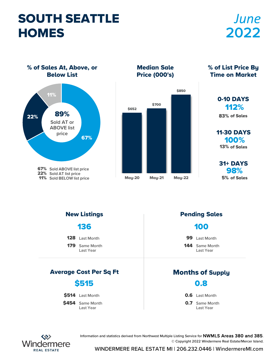# SOUTH SEATTLE **HOMES**

# *June* **2022**

% of Sales At, Above, or Below List



Median Sale Price (000's)



% of List Price By Time on Market

### 112% 0-10 DAYS

83% of Sales

100% 11-30 DAYS 13% of Sales

98% 31+ DAYS 5% of Sales

179 Same Month Last Year 128 Last Month Average Cost Per Sq Ft Months of Supply New Listings **Pending Sales** 136 144 Same Month Last Year 99 Last Month 100 \$454 Same Month \$514 Last Month \$515 **0.7** Same Month **0.6** Last Month 0.8 Last Year Last Year



Information and statistics derived from Northwest Multiple Listing Service for NWMLS Areas 380 and 385. © Copyright 2022 Windermere Real Estate/Mercer Island.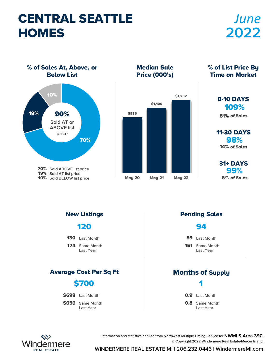# CENTRAL SEATTLE **HOMES**

# *June* **2022**

% of Sales At, Above, or Below List



Median Sale Price (000's)



% of List Price By Time on Market

#### 109% 0-10 DAYS

81% of Sales

98% 11-30 DAYS 14% of Sales

99% 31+ DAYS 6% of Sales

174 Same Month Last Year 130 Last Month Average Cost Per Sq Ft Months of Supply New Listings **Pending Sales** 120 151 Same Month Last Year 89 Last Month 94 \$656 Same Month \$698 Last Month \$700 **0.8** Same Month 0.9 Last Month 1 Last Year Last Year



Information and statistics derived from Northwest Multiple Listing Service for NWMLS Area 390. © Copyright 2022 Windermere Real Estate/Mercer Island.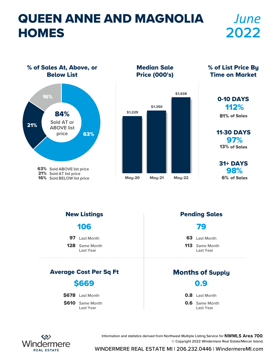# QUEEN ANNE AND MAGNOLIA **HOMES**

# *June* **2022**

% of Sales At, Above, or Below List



Median Sale Price (000's)



% of List Price By Time on Market

### 112% 0-10 DAYS

81% of Sales

97% 11-30 DAYS 13% of Sales

98% 31+ DAYS 6% of Sales

128 Same Month Last Year 97 Last Month Average Cost Per Sq Ft Months of Supply New Listings **Pending Sales** 106 113 Same Month Last Year 63 Last Month 79 \$610 Same Month \$678 Last Month \$669 **0.6** Same Month **0.8** Last Month 0.9 Last Year Last Year



Information and statistics derived from Northwest Multiple Listing Service for NWMLS Area 700. © Copyright 2022 Windermere Real Estate/Mercer Island.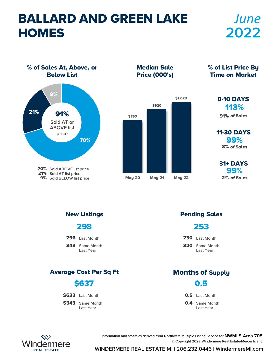# BALLARD AND GREEN LAKE **HOMES**

# *June* **2022**

% of Sales At, Above, or Below List



Median Sale Price (000's)



% of List Price By Time on Market

### 113% 0-10 DAYS

91% of Sales

99% 11-30 DAYS 8% of Sales

99% 31+ DAYS 2% of Sales

298

296 Last Month

343 Same Month Last Year

#### Average Cost Per Sq Ft Months of Supply

### \$637

\$632 Last Month

\$543 Same Month Last Year

#### New Listings **Pending Sales**

### 253

230 Last Month

320 Same Month Last Year

0.5

0.5 Last Month

**0.4** Same Month Last Year



Information and statistics derived from Northwest Multiple Listing Service for NWMLS Area 705. © Copyright 2022 Windermere Real Estate/Mercer Island.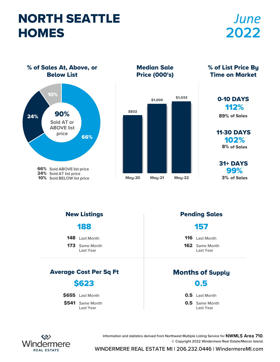# NORTH SEATTLE **HOMES**

# *June* **2022**

% of Sales At, Above, or Below List



Median Sale Price (000's)



% of List Price By Time on Market

### 112% 0-10 DAYS

89% of Sales

102% 11-30 DAYS 8% of Sales

99% 31+ DAYS 3% of Sales

188

| 148 Last Month |  |
|----------------|--|
|----------------|--|

173 Same Month Last Year

#### Average Cost Per Sq Ft Months of Supply

### \$623

\$655 Last Month

\$541 Same Month Last Year

#### New Listings **Pending Sales**

#### 157

116 Last Month

162 Same Month Last Year

0.5

0.5 Last Month

**0.5** Same Month Last Year



Information and statistics derived from Northwest Multiple Listing Service for NWMLS Area 710. © Copyright 2022 Windermere Real Estate/Mercer Island.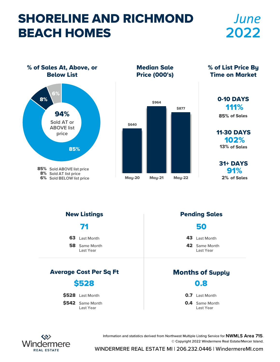# SHORELINE AND RICHMOND BEACH HOMES

## *June* **2022**

% of Sales At, Above, or Below List 85% 8% 6% 94% **Sold AT or ABOVE list price**

> 85% Sold ABOVE list price **Sold AT list price** 8%

**6%** Sold BELOW list price

Median Sale Price (000's)



% of List Price By Time on Market

> 111% 0-10 DAYS 85% of Sales

102% 11-30 DAYS 13% of Sales

91% 31+ DAYS 2% of Sales

**58** Same Month Last Year 63 Last Month Average Cost Per Sq Ft Months of Supply New Listings **Pending Sales** 71 42 Same Month Last Year 43 Last Month 50 \$542 Same Month \$528 Last Month \$528 **0.4** Same Month **0.7** Last Month 0.8 Last Year Last Year



Information and statistics derived from Northwest Multiple Listing Service for NWMLS Area 715. © Copyright 2022 Windermere Real Estate/Mercer Island.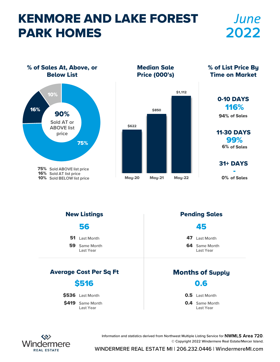# KENMORE AND LAKE FOREST PARK HOMES

## *June* **2022**

% of Sales At, Above, or Below List 16% 10% 90% **Sold AT or ABOVE list price**

> **75%** Sold ABOVE list price **16%** Sold AT list price 10% Sold BELOW list price

75%

Median Sale Price (000's)



% of List Price By Time on Market

### 116% 0-10 DAYS

94% of Sales

99% 11-30 DAYS 6% of Sales

31+ DAYS

0% of Sales

**59** Same Month Last Year 51 Last Month Average Cost Per Sq Ft Months of Supply New Listings **Pending Sales** 56 **64** Same Month Last Year 47 Last Month 45 \$419 Same Month \$536 Last Month \$516 **0.4** Same Month 0.5 Last Month 0.6 Last Year Last Year



Information and statistics derived from Northwest Multiple Listing Service for NWMLS Area 720. © Copyright 2022 Windermere Real Estate/Mercer Island.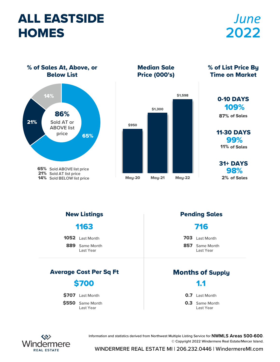# ALL EASTSIDE **HOMES**

# *June* **2022**

% of Sales At, Above, or Below List



Median Sale Price (000's)



% of List Price By Time on Market

#### 109% 0-10 DAYS

87% of Sales

99% 11-30 DAYS 11% of Sales

98% 31+ DAYS 2% of Sales

### 1163

1052 Last Month

889 Same Month Last Year

#### Average Cost Per Sq Ft Months of Supply

### \$700

\$707 Last Month

\$550 Same Month Last Year

#### New Listings **Pending Sales**

### 716

703 Last Month

857 Same Month Last Year

1.1

**0.7** Last Month

**0.3** Same Month Last Year



Information and statistics derived from Northwest Multiple Listing Service for NWMLS Areas 500-600. © Copyright 2022 Windermere Real Estate/Mercer Island.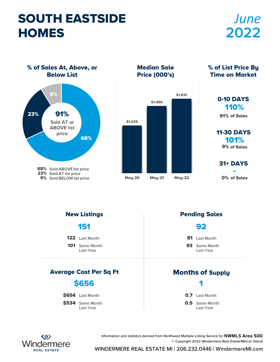# SOUTH EASTSIDE **HOMES**

# *June* **2022**

% of Sales At, Above, or Below List



Median Sale Price (000's)



% of List Price By Time on Market

### 110% 0-10 DAYS

91% of Sales

101% 11-30 DAYS 9% of Sales

**31+ DAYS** 

0% of Sales

101 Same Month Last Year 122 Last Month Average Cost Per Sq Ft Months of Supply New Listings **Pending Sales** 151 93 Same Month Last Year 81 Last Month 92 \$534 Same Month \$654 Last Month \$656 **0.5** Same Month **0.7** Last Month 1 Last Year Last Year



Information and statistics derived from Northwest Multiple Listing Service for NWMLS Area 500. © Copyright 2022 Windermere Real Estate/Mercer Island.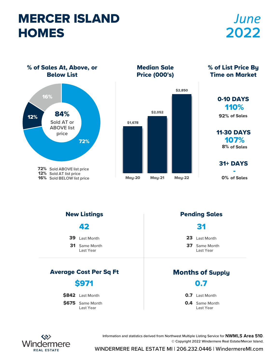## MERCER ISLAND **HOMES**

# *June* **2022**

% of Sales At, Above, or Below List



Median Sale Price (000's)



% of List Price By Time on Market

### 110% 0-10 DAYS

92% of Sales

107% 11-30 DAYS 8% of Sales

**31+ DAYS** 

0% of Sales

42

39 Last Month

31 Same Month Last Year

#### Average Cost Per Sq Ft Months of Supply

### \$971

**\$842** Last Month

\$675 Same Month Last Year

#### New Listings **Pending Sales**

31

23 Last Month

37 Same Month Last Year

0.7

**0.7** Last Month

**0.4** Same Month Last Year



Information and statistics derived from Northwest Multiple Listing Service for NWMLS Area 510. © Copyright 2022 Windermere Real Estate/Mercer Island.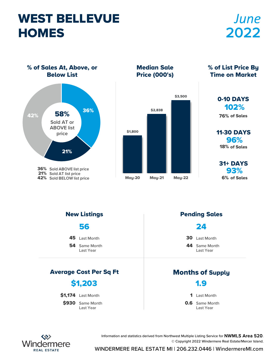# WEST BELLEVUE **HOMES**

# *June* **2022**

% of Sales At, Above, or Below List



Median Sale Price (000's)



% of List Price By Time on Market

#### 102% 0-10 DAYS

76% of Sales

96% 11-30 DAYS 18% of Sales

93% 31+ DAYS 6% of Sales

56

45 Last Month

**54** Same Month Last Year

#### Average Cost Per Sq Ft Months of Supply

### \$1,203

\$1,174 Last Month

\$930 Same Month Last Year

#### New Listings **Pending Sales**

#### 24

30 Last Month

44 Same Month Last Year

1.9

1 Last Month

**0.6** Same Month Last Year



Information and statistics derived from Northwest Multiple Listing Service for NWMLS Area 520. © Copyright 2022 Windermere Real Estate/Mercer Island.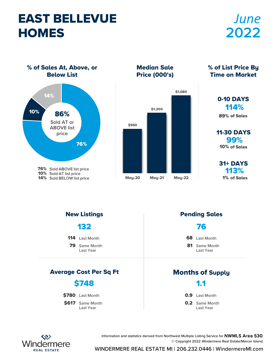## EAST BELLEVUE **HOMES**

# *June* **2022**

% of Sales At, Above, or Below List



Median Sale Price (000's)



% of List Price By Time on Market

#### 114% 0-10 DAYS 89% of Sales

99% 11-30 DAYS 10% of Sales

113% 31+ DAYS 1% of Sales

79 Same Month Last Year 114 Last Month Average Cost Per Sq Ft Months of Supply New Listings **Pending Sales** 132 81 Same Month Last Year 68 Last Month 76 \$617 Same Month \$780 Last Month \$748 **0.2** Same Month 0.9 Last Month 1.1 Last Year Last Year



Information and statistics derived from Northwest Multiple Listing Service for NWMLS Area 530. © Copyright 2022 Windermere Real Estate/Mercer Island.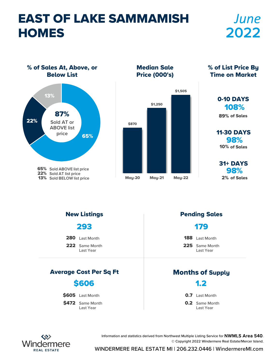# EAST OF LAKE SAMMAMISH **HOMES**

# *June* **2022**

% of Sales At, Above, or Below List



Median Sale Price (000's)



% of List Price By Time on Market

### 108% 0-10 DAYS

89% of Sales

98% 11-30 DAYS 10% of Sales

98% 31+ DAYS 2% of Sales

293

280 Last Month

222 Same Month Last Year

#### Average Cost Per Sq Ft Months of Supply

### \$606

\$605 Last Month

\$472 Same Month Last Year

#### New Listings **Pending Sales**

### 179

188 Last Month

225 Same Month Last Year

1.2

**0.7** Last Month

**0.2** Same Month Last Year



Information and statistics derived from Northwest Multiple Listing Service for NWMLS Area 540. © Copyright 2022 Windermere Real Estate/Mercer Island.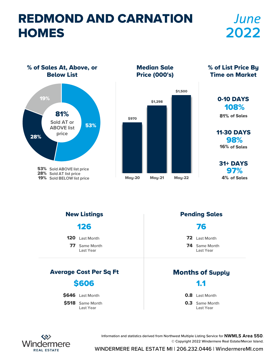# REDMOND AND CARNATION **HOMES**

# *June* **2022**

% of Sales At, Above, or Below List



Median Sale Price (000's)



% of List Price By Time on Market

### 108% 0-10 DAYS

81% of Sales

98% 11-30 DAYS 16% of Sales

97% 31+ DAYS 4% of Sales

77 Same Month Last Year 120 Last Month Average Cost Per Sq Ft Months of Supply New Listings **Pending Sales** 126 74 Same Month Last Year 72 Last Month 76 \$518 Same Month **\$646** Last Month \$606 **0.8** Last Month 1.1

**0.3** Same Month Last Year



Last Year

Information and statistics derived from Northwest Multiple Listing Service for NWMLS Area 550. © Copyright 2022 Windermere Real Estate/Mercer Island.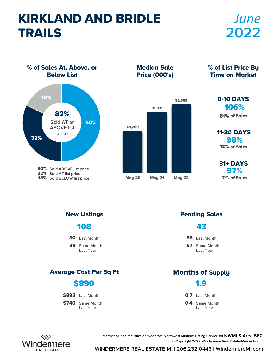# KIRKLAND AND BRIDLE TRAILS

# *June* **2022**

% of Sales At, Above, or Below List



Median Sale Price (000's)



% of List Price By Time on Market

#### 106% 0-10 DAYS

81% of Sales

98% 11-30 DAYS 12% of Sales

97% 31+ DAYS 7% of Sales

89 Same Month Last Year 80 Last Month Average Cost Per Sq Ft Months of Supply New Listings **Pending Sales** 108 87 Same Month Last Year 58 Last Month 43 \$740 Same Month \$893 Last Month \$890 **0.4** Same Month **0.7** Last Month 1.9 Last Year Last Year



Information and statistics derived from Northwest Multiple Listing Service for NWMLS Area 560. © Copyright 2022 Windermere Real Estate/Mercer Island.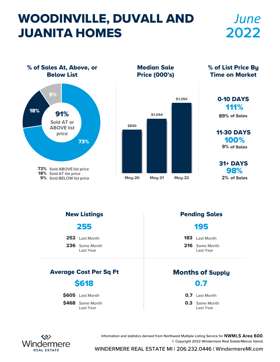# WOODINVILLE, DUVALL AND JUANITA HOMES

## *June* **2022**

% of Sales At, Above, or Below List 73% 18% 9% **73%** Sold ABOVE list price 18% Sold AT list price **9%** Sold BELOW list price 91% **Sold AT or ABOVE list price**

Median Sale Price (000's)



Time on Market

% of List Price By

### 111% 0-10 DAYS

89% of Sales

100% 11-30 DAYS 9% of Sales

98% 31+ DAYS 2% of Sales

255

252 Last Month

236 Same Month Last Year

#### Average Cost Per Sq Ft Months of Supply

### \$618

\$605 Last Month

\$468 Same Month Last Year

#### New Listings **Pending Sales**

#### 195

183 Last Month

216 Same Month Last Year

0.7

**0.7** Last Month

**0.3** Same Month Last Year



Information and statistics derived from Northwest Multiple Listing Service for NWMLS Area 600. © Copyright 2022 Windermere Real Estate/Mercer Island.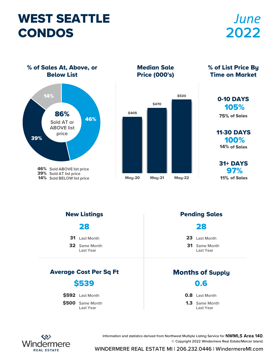# WEST SEATTLE CONDOS

# *June* **2022**

% of Sales At, Above, or Below List



Median Sale Price (000's)



% of List Price By Time on Market

#### 105% 0-10 DAYS

75% of Sales

100% 11-30 DAYS 14% of Sales

97% 31+ DAYS 11% of Sales

28

31 Last Month

32 Same Month Last Year

#### Average Cost Per Sq Ft Months of Supply

### \$539

\$592 Last Month

\$500 Same Month Last Year

#### New Listings **Pending Sales**

#### 28

23 Last Month

31 Same Month Last Year

0.6

**0.8** Last Month

1.3 Same Month Last Year



Information and statistics derived from Northwest Multiple Listing Service for NWMLS Area 140. © Copyright 2022 Windermere Real Estate/Mercer Island.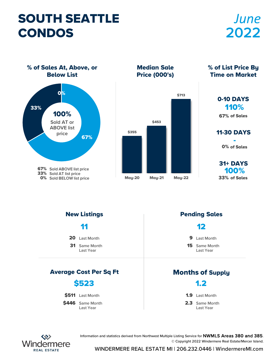# SOUTH SEATTLE CONDOS

# *June* **2022**

% of Sales At, Above, or Below List



Median Sale Price (000's)



% of List Price By Time on Market

#### 110% 0-10 DAYS

67% of Sales

**11-30 DAYS** 0% of Sales

100% 31+ DAYS 33% of Sales

31 Same Month Last Year 20 Last Month Average Cost Per Sq Ft Months of Supply New Listings **Pending Sales** 11 15 Same Month Last Year 9 Last Month 12 \$446 Same Month \$511 Last Month \$523 2.3 Same Month 1.9 Last Month 1.2 Last Year Last Year



Information and statistics derived from Northwest Multiple Listing Service for NWMLS Areas 380 and 385. © Copyright 2022 Windermere Real Estate/Mercer Island.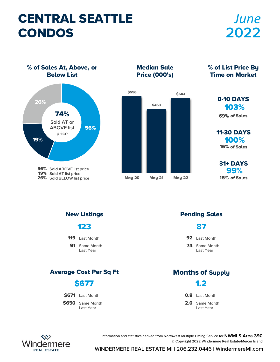# CENTRAL SEATTLE CONDOS

# *June* **2022**

% of Sales At, Above, or Below List



Median Sale Price (000's)



% of List Price By Time on Market

#### 103% 0-10 DAYS 69% of Sales

100% 11-30 DAYS 16% of Sales

99% 31+ DAYS 15% of Sales

91 Same Month Last Year 119 Last Month Average Cost Per Sq Ft Months of Supply New Listings **Pending Sales** 123 74 Same Month Last Year 92 Last Month 87 \$650 Same Month \$671 Last Month \$677 2.0 Same Month **0.8** Last Month 1.2 Last Year Last Year



Information and statistics derived from Northwest Multiple Listing Service for NWMLS Area 390. © Copyright 2022 Windermere Real Estate/Mercer Island.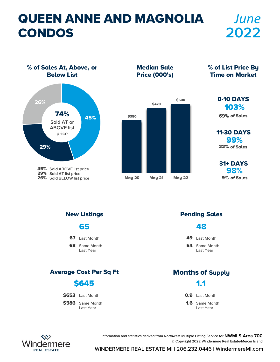# QUEEN ANNE AND MAGNOLIA CONDOS

# *June* **2022**

% of Sales At, Above, or Below List



Median Sale Price (000's)



% of List Price By Time on Market

#### 103% 0-10 DAYS

69% of Sales

99% 11-30 DAYS 22% of Sales

98% 31+ DAYS 9% of Sales

**68** Same Month Last Year 67 Last Month Average Cost Per Sq Ft Months of Supply New Listings **Pending Sales** 65 **54** Same Month Last Year 49 Last Month 48 \$586 Same Month \$653 Last Month \$645 1.6 Same Month 0.9 Last Month 1.1 Last Year Last Year



Information and statistics derived from Northwest Multiple Listing Service for NWMLS Area 700. © Copyright 2022 Windermere Real Estate/Mercer Island.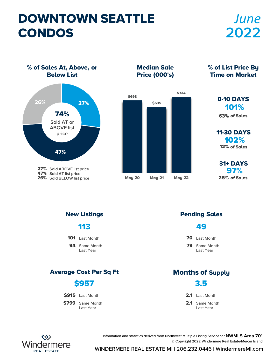# DOWNTOWN SEATTLE CONDOS

# *June* **2022**

% of Sales At, Above, or Below List



Median Sale Price (000's)



% of List Price By Time on Market

### 101% 0-10 DAYS

63% of Sales

102% 11-30 DAYS 12% of Sales

97% 31+ DAYS 25% of Sales

94 Same Month Last Year 101 Last Month Average Cost Per Sq Ft Months of Supply New Listings **Pending Sales** 113 79 Same Month Last Year 70 Last Month 49 \$799 Same Month \$915 Last Month \$957 2.1 Same Month 2.1 Last Month 3.5 Last Year Last Year



Information and statistics derived from Northwest Multiple Listing Service for NWMLS Area 701. © Copyright 2022 Windermere Real Estate/Mercer Island.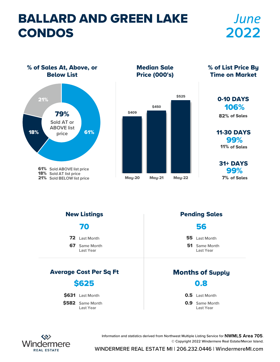# BALLARD AND GREEN LAKE CONDOS

# *June* **2022**

% of Sales At, Above, or Below List



Median Sale Price (000's)



% of List Price By Time on Market

#### 106% 0-10 DAYS

82% of Sales

99% 11-30 DAYS 11% of Sales

99% 31+ DAYS 7% of Sales

67 Same Month Last Year 72 Last Month Average Cost Per Sq Ft Months of Supply New Listings **Pending Sales** 70 **51** Same Month Last Year 55 Last Month 56 \$582 Same Month \$631 Last Month \$625 **0.9** Same Month 0.5 Last Month 0.8 Last Year Last Year



Information and statistics derived from Northwest Multiple Listing Service for NWMLS Area 705. © Copyright 2022 Windermere Real Estate/Mercer Island.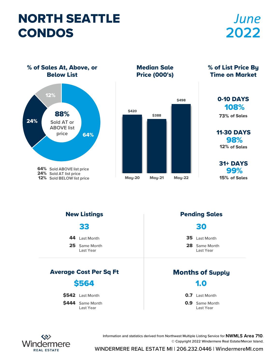# NORTH SEATTLE CONDOS

# *June* **2022**

% of Sales At, Above, or Below List



Median Sale Price (000's)



Time on Market

% of List Price By

#### 108% 0-10 DAYS

73% of Sales

98% 11-30 DAYS 12% of Sales

99% 31+ DAYS 15% of Sales

25 Same Month Last Year 44 Last Month Average Cost Per Sq Ft Months of Supply New Listings **Pending Sales** 33 28 Same Month Last Year 35 Last Month 30 \$444 Same Month \$542 Last Month \$564 **0.9** Same Month **0.7** Last Month 1.0 Last Year Last Year



Information and statistics derived from Northwest Multiple Listing Service for NWMLS Area 710. © Copyright 2022 Windermere Real Estate/Mercer Island.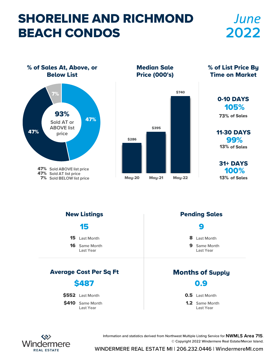# SHORELINE AND RICHMOND BEACH CONDOS

## *June* **2022**

% of Sales At, Above, or Below List 47% 47% 7% **47%** Sold ABOVE list price **47%** Sold AT list price **7%** Sold BELOW list price 93% **Sold AT or ABOVE list price**

Median Sale Price (000's)



% of List Price By Time on Market

#### 105% 0-10 DAYS

73% of Sales

99% 11-30 DAYS 13% of Sales

100% 31+ DAYS 13% of Sales

16 Same Month Last Year 15 Last Month Average Cost Per Sq Ft Months of Supply New Listings **Pending Sales** 15 9 Same Month Last Year 8 Last Month 9 \$410 Same Month \$552 Last Month \$487 1.2 Same Month 0.5 Last Month 0.9 Last Year Last Year



Information and statistics derived from Northwest Multiple Listing Service for NWMLS Area 715. © Copyright 2022 Windermere Real Estate/Mercer Island.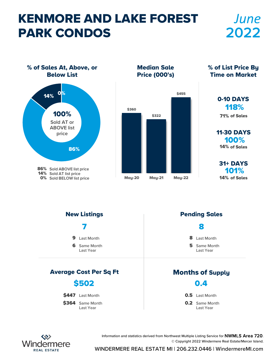# KENMORE AND LAKE FOREST PARK CONDOS

## *June* **2022**

% of Sales At, Above, or Below List



Median Sale Price (000's)



% of List Price By Time on Market

#### 118% 0-10 DAYS

71% of Sales

100% 11-30 DAYS 14% of Sales

101% 31+ DAYS 14% of Sales

**6** Same Month Last Year 9 Last Month Average Cost Per Sq Ft Months of Supply New Listings **Pending Sales** 7 **5** Same Month Last Year 8 Last Month 8 \$364 Same Month \$447 Last Month \$502 **0.2** Same Month 0.5 Last Month 0.4 Last Year Last Year



Information and statistics derived from Northwest Multiple Listing Service for NWMLS Area 720. © Copyright 2022 Windermere Real Estate/Mercer Island.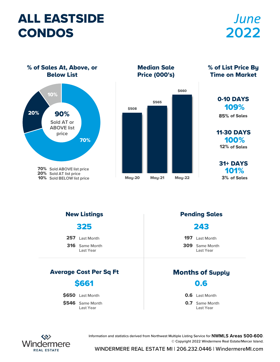# ALL EASTSIDE CONDOS

# *June* **2022**

% of Sales At, Above, or Below List



Median Sale Price (000's)



% of List Price By Time on Market

#### 109% 0-10 DAYS

85% of Sales

100% 11-30 DAYS 12% of Sales

101% 31+ DAYS 3% of Sales

325

257 Last Month

316 Same Month Last Year

#### Average Cost Per Sq Ft Months of Supply

### \$661

\$650 Last Month

\$546 Same Month Last Year

#### New Listings **Pending Sales**

#### 243

197 Last Month

309 Same Month Last Year

0.6

**0.6** Last Month

**0.7** Same Month Last Year



Information and statistics derived from Northwest Multiple Listing Service for NWMLS Areas 500-600. © Copyright 2022 Windermere Real Estate/Mercer Island.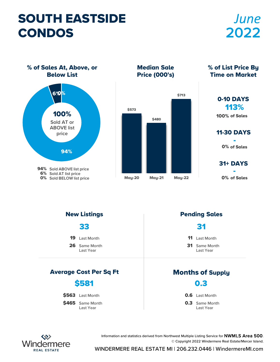# SOUTH EASTSIDE CONDOS

# *June* **2022**

% of Sales At, Above, or Below List



Median Sale Price (000's)



% of List Price By Time on Market

### 113% 0-10 DAYS

100% of Sales

### **11-30 DAYS** 0% of Sales

**31+ DAYS** 

0% of Sales

26 Same Month Last Year 19 Last Month Average Cost Per Sq Ft Months of Supply New Listings **Pending Sales** 33 31 Same Month Last Year 11 Last Month 31 \$465 Same Month \$563 Last Month \$581 **0.3** Same Month **0.6** Last Month 0.3 Last Year Last Year



Information and statistics derived from Northwest Multiple Listing Service for NWMLS Area 500. © Copyright 2022 Windermere Real Estate/Mercer Island.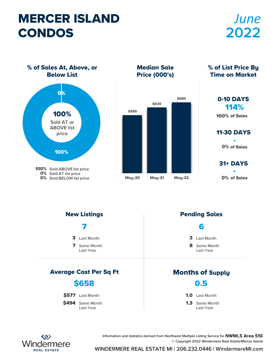# MERCER ISLAND CONDOS

# *June* **2022**

% of Sales At, Above, or Below List



Median Sale Price (000's)



% of List Price By Time on Market

#### 114% 0-10 DAYS

100% of Sales

**11-30 DAYS** 0% of Sales

**31+ DAYS** 

0% of Sales

7 Same Month Last Year 3 Last Month Average Cost Per Sq Ft Months of Supply New Listings **Pending Sales** 7 8 Same Month Last Year 3 Last Month 6 \$494 Same Month \$577 Last Month \$658 1.3 Same Month 1.0 Last Month 0.5 Last Year Last Year



Information and statistics derived from Northwest Multiple Listing Service for NWMLS Area 510. © Copyright 2022 Windermere Real Estate/Mercer Island.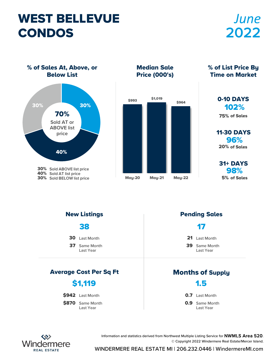# WEST BELLEVUE CONDOS

# *June* **2022**

% of Sales At, Above, or Below List



Median Sale Price (000's)



% of List Price By Time on Market

| 0-10 DAYS         |
|-------------------|
| 102%              |
| 75% of Sales      |
|                   |
| <b>11-30 DAYS</b> |

96% 20% of Sales

98% 31+ DAYS 5% of Sales

38

- 30 Last Month
- 37 Same Month Last Year

#### Average Cost Per Sq Ft Months of Supply

### \$1,119

\$942 Last Month

\$870 Same Month Last Year

#### New Listings **Pending Sales**

#### 17

21 Last Month

39 Same Month Last Year

1.5

**0.7** Last Month

**0.9** Same Month Last Year



Information and statistics derived from Northwest Multiple Listing Service for NWMLS Area 520. © Copyright 2022 Windermere Real Estate/Mercer Island.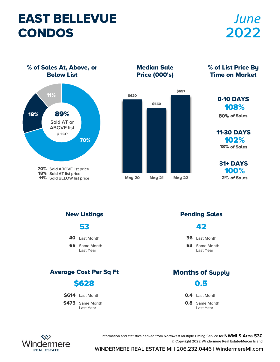### EAST BELLEVUE CONDOS

# *June* **2022**

% of Sales At, Above, or Below List



Median Sale Price (000's)



% of List Price By Time on Market

### 108% 0-10 DAYS

80% of Sales

102% 11-30 DAYS 18% of Sales

100% 31+ DAYS 2% of Sales

65 Same Month Last Year 40 Last Month Average Cost Per Sq Ft Months of Supply New Listings **Pending Sales** 53 53 Same Month Last Year 36 Last Month 42 \$475 Same Month \$614 Last Month \$628 **0.8** Same Month **0.4** Last Month 0.5 Last Year Last Year



Information and statistics derived from Northwest Multiple Listing Service for NWMLS Area 530. © Copyright 2022 Windermere Real Estate/Mercer Island.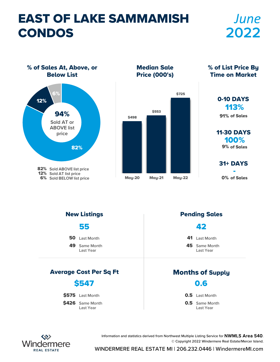# EAST OF LAKE SAMMAMISH CONDOS

# *June* **2022**

% of Sales At, Above, or Below List



Median Sale Price (000's)



% of List Price By Time on Market

#### 113% 0-10 DAYS 91% of Sales

100% 11-30 DAYS 9% of Sales

**31+ DAYS** 

0% of Sales

49 Same Month Last Year 50 Last Month Average Cost Per Sq Ft Months of Supply New Listings **Pending Sales** 55 45 Same Month Last Year 41 Last Month 42 \$426 Same Month \$575 Last Month \$547 **0.5** Same Month 0.5 Last Month 0.6 Last Year Last Year



Information and statistics derived from Northwest Multiple Listing Service for NWMLS Area 540. © Copyright 2022 Windermere Real Estate/Mercer Island.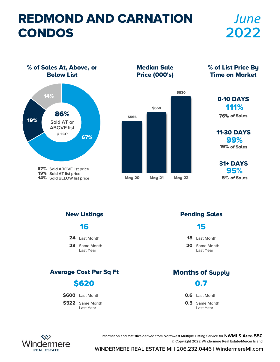# REDMOND AND CARNATION CONDOS

# *June* **2022**

% of Sales At, Above, or Below List



Median Sale Price (000's)



% of List Price By Time on Market

#### 111% 0-10 DAYS 76% of Sales

99% 11-30 DAYS 19% of Sales

95% 31+ DAYS 5% of Sales

23 Same Month Last Year 24 Last Month Average Cost Per Sq Ft Months of Supply New Listings **Pending Sales** 16 20 Same Month Last Year 18 Last Month 15 \$522 Same Month \$600 Last Month \$620 **0.5** Same Month **0.6** Last Month 0.7 Last Year Last Year



Information and statistics derived from Northwest Multiple Listing Service for NWMLS Area 550. © Copyright 2022 Windermere Real Estate/Mercer Island.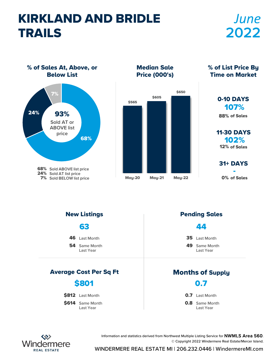# KIRKLAND AND BRIDLE TRAILS

# *June* **2022**

% of Sales At, Above, or Below List



Median Sale Price (000's)



% of List Price By Time on Market

### 107% 0-10 DAYS

88% of Sales

102% 11-30 DAYS 12% of Sales

**31+ DAYS** 

0% of Sales

**54** Same Month Last Year 46 Last Month Average Cost Per Sq Ft Months of Supply New Listings **Pending Sales** 63 49 Same Month Last Year 35 Last Month 44 \$614 Same Month \$812 Last Month \$801 **0.8** Same Month **0.7** Last Month 0.7 Last Year Last Year



Information and statistics derived from Northwest Multiple Listing Service for NWMLS Area 560. © Copyright 2022 Windermere Real Estate/Mercer Island.